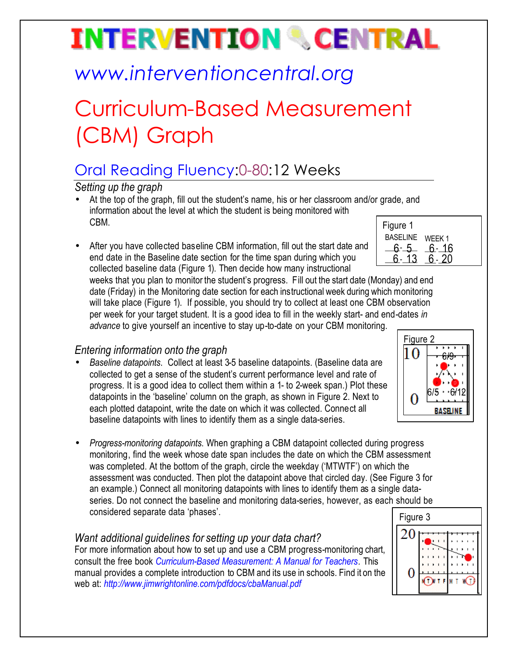# **INTERVENTION & CENTRAL**

## *www.interventioncentral.org*

## Curriculum-Based Measurement (CBM) Graph

### Oral Reading Fluency:0-80:12 Weeks

*Setting up the graph*

- At the top of the graph, fill out the student's name, his or her classroom and/or grade, and information about the level at which the student is being monitored with CBM.
- After you have collected baseline CBM information, fill out the start date and end date in the Baseline date section for the time span during which you collected baseline data (Figure 1). Then decide how many instructional

| Figure 1        |        |
|-----------------|--------|
| <b>BASELINE</b> | WEEK 1 |
|                 | ჩ- 16  |
|                 |        |
|                 |        |

weeks that you plan to monitor the student's progress. Fill out the start date (Monday) and end date (Friday) in the Monitoring date section for each instructional week during which monitoring will take place (Figure 1). If possible, you should try to collect at least one CBM observation per week for your target student. It is a good idea to fill in the weekly start- and end-dates *in advance* to give yourself an incentive to stay up-to-date on your CBM monitoring.

### *Entering information onto the graph*

- *Baseline datapoints*. Collect at least 3-5 baseline datapoints. (Baseline data are collected to get a sense of the student's current performance level and rate of progress. It is a good idea to collect them within a 1- to 2-week span.) Plot these datapoints in the 'baseline' column on the graph, as shown in Figure 2. Next to each plotted datapoint, write the date on which it was collected. Connect all baseline datapoints with lines to identify them as a single data-series.
- *Progress-monitoring datapoints*. When graphing a CBM datapoint collected during progress monitoring, find the week whose date span includes the date on which the CBM assessment was completed. At the bottom of the graph, circle the weekday ('MTWTF') on which the assessment was conducted. Then plot the datapoint above that circled day. (See Figure 3 for an example.) Connect all monitoring datapoints with lines to identify them as a single dataseries. Do not connect the baseline and monitoring data-series, however, as each should be considered separate data 'phases'.

#### *Want additional guidelines for setting up your data chart?*

For more information about how to set up and use a CBM progress-monitoring chart, consult the free book *Curriculum-Based Measurement: A Manual for Teachers.* This manual provides a complete introduction to CBM and its use in schools. Find it on the web at: *http://www.jimwrightonline.com/pdfdocs/cbaManual.pdf*